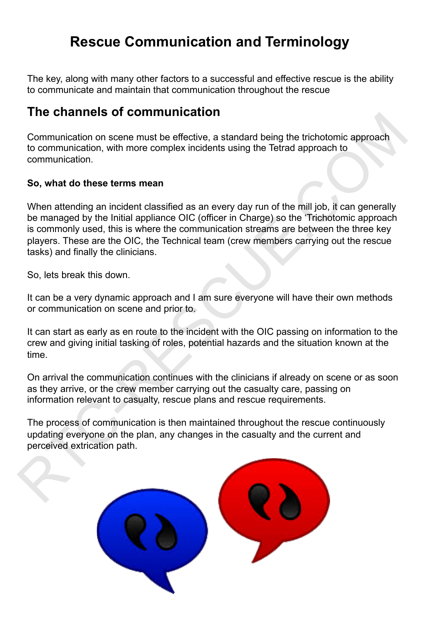# **Rescue Communication and Terminology**

The key, along with many other factors to a successful and effective rescue is the ability to communicate and maintain that communication throughout the rescue

# **The channels of communication**

Communication on scene must be effective, a standard being the trichotomic approach to communication, with more complex incidents using the Tetrad approach to communication.

# **So, what do these terms mean**

When attending an incident classified as an every day run of the mill job, it can generally be managed by the Initial appliance OIC (officer in Charge) so the 'Trichotomic approach is commonly used, this is where the communication streams are between the three key players. These are the OIC, the Technical team (crew members carrying out the rescue tasks) and finally the clinicians. The Charmies of Communication<br>
to communication a scene must be effective, a standard being the trichotomic approach<br>
to communication, with more complex incidents using the Tetrad approach to<br>
communication,<br>
So, what do

So, lets break this down.

It can be a very dynamic approach and I am sure everyone will have their own methods or communication on scene and prior to.

It can start as early as en route to the incident with the OIC passing on information to the crew and giving initial tasking of roles, potential hazards and the situation known at the time.

On arrival the communication continues with the clinicians if already on scene or as soon as they arrive, or the crew member carrying out the casualty care, passing on information relevant to casualty, rescue plans and rescue requirements.

The process of communication is then maintained throughout the rescue continuously updating everyone on the plan, any changes in the casualty and the current and perceived extrication path.

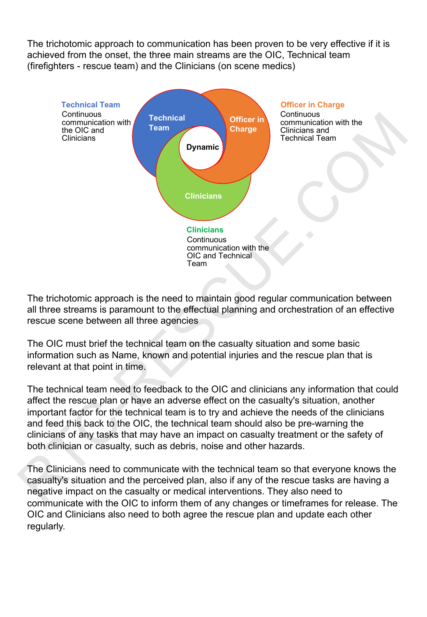The trichotomic approach to communication has been proven to be very effective if it is achieved from the onset, the three main streams are the OIC, Technical team (firefighters - rescue team) and the Clinicians (on scene medics)



The trichotomic approach is the need to maintain good regular communication between all three streams is paramount to the effectual planning and orchestration of an effective rescue scene between all three agencies

The OIC must brief the technical team on the casualty situation and some basic information such as Name, known and potential injuries and the rescue plan that is relevant at that point in time.

The technical team need to feedback to the OIC and clinicians any information that could affect the rescue plan or have an adverse effect on the casualty's situation, another important factor for the technical team is to try and achieve the needs of the clinicians and feed this back to the OIC, the technical team should also be pre-warning the clinicians of any tasks that may have an impact on casualty treatment or the safety of both clinician or casualty, such as debris, noise and other hazards.

The Clinicians need to communicate with the technical team so that everyone knows the casualty's situation and the perceived plan, also if any of the rescue tasks are having a negative impact on the casualty or medical interventions. They also need to communicate with the OIC to inform them of any changes or timeframes for release. The OIC and Clinicians also need to both agree the rescue plan and update each other regularly.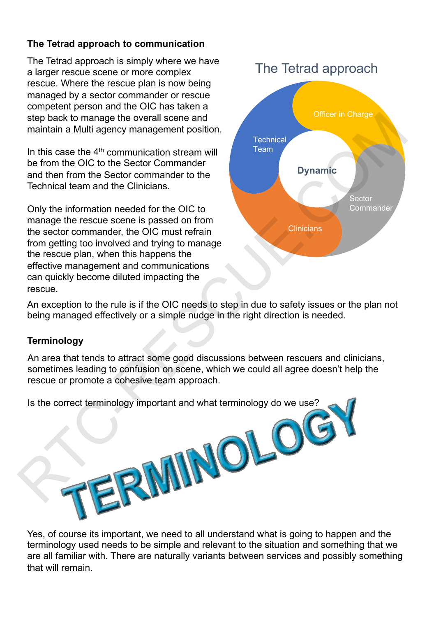# **The Tetrad approach to communication**

The Tetrad approach is simply where we have a larger rescue scene or more complex rescue. Where the rescue plan is now being managed by a sector commander or rescue competent person and the OIC has taken a step back to manage the overall scene and maintain a Multi agency management position.

In this case the  $4<sup>th</sup>$  communication stream will be from the OIC to the Sector Commander and then from the Sector commander to the Technical team and the Clinicians.

Only the information needed for the OIC to manage the rescue scene is passed on from the sector commander, the OIC must refrain from getting too involved and trying to manage the rescue plan, when this happens the effective management and communications can quickly become diluted impacting the rescue.



An exception to the rule is if the OIC needs to step in due to safety issues or the plan not being managed effectively or a simple nudge in the right direction is needed.

# **Terminology**

An area that tends to attract some good discussions between rescuers and clinicians, sometimes leading to confusion on scene, which we could all agree doesn't help the rescue or promote a cohesive team approach.



Yes, of course its important, we need to all understand what is going to happen and the terminology used needs to be simple and relevant to the situation and something that we are all familiar with. There are naturally variants between services and possibly something that will remain.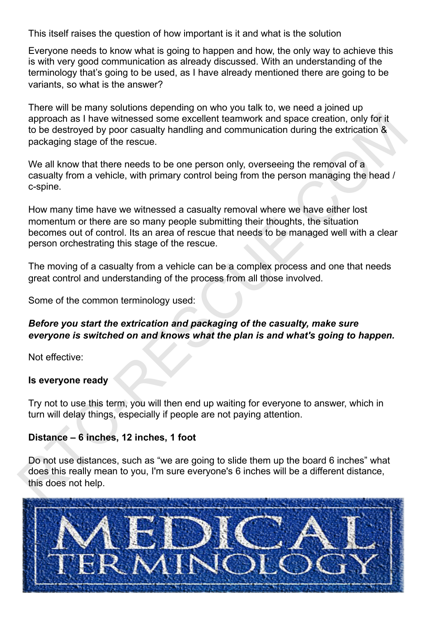This itself raises the question of how important is it and what is the solution

Everyone needs to know what is going to happen and how, the only way to achieve this is with very good communication as already discussed. With an understanding of the terminology that's going to be used, as I have already mentioned there are going to be variants, so what is the answer?

There will be many solutions depending on who you talk to, we need a joined up approach as I have witnessed some excellent teamwork and space creation, only for it to be destroyed by poor casualty handling and communication during the extrication & packaging stage of the rescue.

We all know that there needs to be one person only, overseeing the removal of a casualty from a vehicle, with primary control being from the person managing the head / c-spine.

How many time have we witnessed a casualty removal where we have either lost momentum or there are so many people submitting their thoughts, the situation becomes out of control. Its an area of rescue that needs to be managed well with a clear person orchestrating this stage of the rescue. sprocha se I have witnessed some excellent teamwork and space creation, only for it<br>to be destroyed by poor casually handling and communication during the extrication &<br>packaging stage of the rescue.<br>We all know that there

The moving of a casualty from a vehicle can be a complex process and one that needs great control and understanding of the process from all those involved.

Some of the common terminology used:

# *Before you start the extrication and packaging of the casualty, make sure everyone is switched on and knows what the plan is and what's going to happen.*

Not effective:

#### **Is everyone ready**

Try not to use this term, you will then end up waiting for everyone to answer, which in turn will delay things, especially if people are not paying attention.

#### **Distance – 6 inches, 12 inches, 1 foot**

Do not use distances, such as "we are going to slide them up the board 6 inches" what does this really mean to you, I'm sure everyone's 6 inches will be a different distance, this does not help.